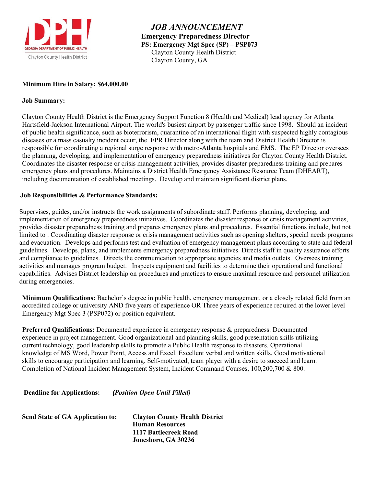

 *JOB ANNOUNCEMENT* **Emergency Preparedness Director PS: Emergency Mgt Spec (SP) – PSP073** Clayton County Health District Clayton County, GA

# **Minimum Hire in Salary: \$64,000.00**

# **Job Summary:**

Clayton County Health District is the Emergency Support Function 8 (Health and Medical) lead agency for Atlanta Hartsfield-Jackson International Airport. The world's busiest airport by passenger traffic since 1998. Should an incident of public health significance, such as bioterrorism, quarantine of an international flight with suspected highly contagious diseases or a mass casualty incident occur, the EPR Director along with the team and District Health Director is responsible for coordinating a regional surge response with metro-Atlanta hospitals and EMS. The EP Director oversees the planning, developing, and implementation of emergency preparedness initiatives for Clayton County Health District. Coordinates the disaster response or crisis management activities, provides disaster preparedness training and prepares emergency plans and procedures. Maintains a District Health Emergency Assistance Resource Team (DHEART), including documentation of established meetings. Develop and maintain significant district plans.

# **Job Responsibilities & Performance Standards:**

Supervises, guides, and/or instructs the work assignments of subordinate staff. Performs planning, developing, and implementation of emergency preparedness initiatives. Coordinates the disaster response or crisis management activities, provides disaster preparedness training and prepares emergency plans and procedures. Essential functions include, but not limited to : Coordinating disaster response or crisis management activities such as opening shelters, special needs programs and evacuation. Develops and performs test and evaluation of emergency management plans according to state and federal guidelines. Develops, plans, and implements emergency preparedness initiatives. Directs staff in quality assurance efforts and compliance to guidelines. Directs the communication to appropriate agencies and media outlets. Oversees training activities and manages program budget. Inspects equipment and facilities to determine their operational and functional capabilities. Advises District leadership on procedures and practices to ensure maximal resource and personnel utilization during emergencies.

**Minimum Qualifications:** Bachelor's degree in public health, emergency management, or a closely related field from an accredited college or university AND five years of experience OR Three years of experience required at the lower level Emergency Mgt Spec 3 (PSP072) or position equivalent.

**Preferred Qualifications:** Documented experience in emergency response & preparedness. Documented experience in project management. Good organizational and planning skills, good presentation skills utilizing current technology, good leadership skills to promote a Public Health response to disasters. Operational knowledge of MS Word, Power Point, Access and Excel. Excellent verbal and written skills. Good motivational skills to encourage participation and learning. Self-motivated, team player with a desire to succeed and learn. Completion of National Incident Management System, Incident Command Courses, 100,200,700 & 800.

**Deadline for Applications:** *(Position Open Until Filled)*

| <b>Send State of GA Application to:</b> | <b>Clayton County Health District</b> |
|-----------------------------------------|---------------------------------------|
|                                         | <b>Human Resources</b>                |
|                                         | 1117 Battlecreek Road                 |
|                                         | Jonesboro, GA 30236                   |